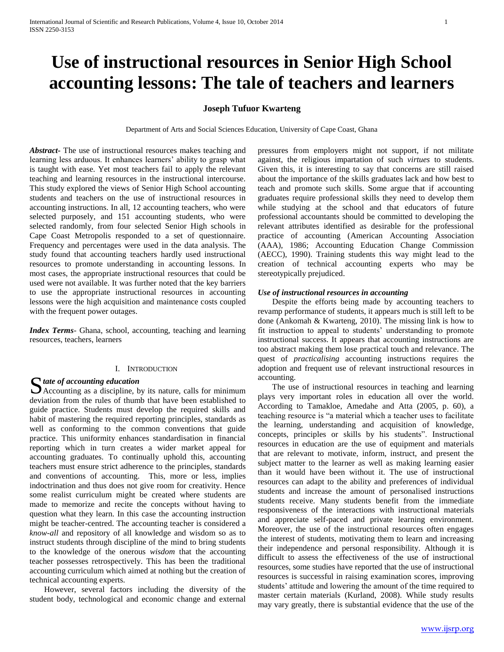# **Use of instructional resources in Senior High School accounting lessons: The tale of teachers and learners**

# **Joseph Tufuor Kwarteng**

Department of Arts and Social Sciences Education, University of Cape Coast, Ghana

*Abstract***-** The use of instructional resources makes teaching and learning less arduous. It enhances learners' ability to grasp what is taught with ease. Yet most teachers fail to apply the relevant teaching and learning resources in the instructional intercourse. This study explored the views of Senior High School accounting students and teachers on the use of instructional resources in accounting instructions. In all, 12 accounting teachers, who were selected purposely, and 151 accounting students, who were selected randomly, from four selected Senior High schools in Cape Coast Metropolis responded to a set of questionnaire. Frequency and percentages were used in the data analysis. The study found that accounting teachers hardly used instructional resources to promote understanding in accounting lessons. In most cases, the appropriate instructional resources that could be used were not available. It was further noted that the key barriers to use the appropriate instructional resources in accounting lessons were the high acquisition and maintenance costs coupled with the frequent power outages.

*Index Terms*- Ghana, school, accounting, teaching and learning resources, teachers, learners

# I. INTRODUCTION

State of accounting education<br>Accounting as a discipline, b  $\sum$ Accounting as a discipline, by its nature, calls for minimum deviation from the rules of thumb that have been established to guide practice. Students must develop the required skills and habit of mastering the required reporting principles, standards as well as conforming to the common conventions that guide practice. This uniformity enhances standardisation in financial reporting which in turn creates a wider market appeal for accounting graduates. To continually uphold this, accounting teachers must ensure strict adherence to the principles, standards and conventions of accounting. This, more or less, implies indoctrination and thus does not give room for creativity. Hence some realist curriculum might be created where students are made to memorize and recite the concepts without having to question what they learn. In this case the accounting instruction might be teacher-centred. The accounting teacher is considered a *know-all* and repository of all knowledge and wisdom so as to instruct students through discipline of the mind to bring students to the knowledge of the onerous *wisdom* that the accounting teacher possesses retrospectively. This has been the traditional accounting curriculum which aimed at nothing but the creation of technical accounting experts.

 However, several factors including the diversity of the student body, technological and economic change and external pressures from employers might not support, if not militate against, the religious impartation of such *virtues* to students. Given this, it is interesting to say that concerns are still raised about the importance of the skills graduates lack and how best to teach and promote such skills. Some argue that if accounting graduates require professional skills they need to develop them while studying at the school and that educators of future professional accountants should be committed to developing the relevant attributes identified as desirable for the professional practice of accounting (American Accounting Association (AAA), 1986; Accounting Education Change Commission (AECC), 1990). Training students this way might lead to the creation of technical accounting experts who may be stereotypically prejudiced.

# *Use of instructional resources in accounting*

 Despite the efforts being made by accounting teachers to revamp performance of students, it appears much is still left to be done (Ankomah & Kwarteng, 2010). The missing link is how to fit instruction to appeal to students' understanding to promote instructional success. It appears that accounting instructions are too abstract making them lose practical touch and relevance. The quest of *practicalising* accounting instructions requires the adoption and frequent use of relevant instructional resources in accounting.

 The use of instructional resources in teaching and learning plays very important roles in education all over the world. According to Tamakloe, Amedahe and Atta (2005, p. 60), a teaching resource is "a material which a teacher uses to facilitate the learning, understanding and acquisition of knowledge, concepts, principles or skills by his students". Instructional resources in education are the use of equipment and materials that are relevant to motivate, inform, instruct, and present the subject matter to the learner as well as making learning easier than it would have been without it. The use of instructional resources can adapt to the ability and preferences of individual students and increase the amount of personalised instructions students receive. Many students benefit from the immediate responsiveness of the interactions with instructional materials and appreciate self-paced and private learning environment. Moreover, the use of the instructional resources often engages the interest of students, motivating them to learn and increasing their independence and personal responsibility. Although it is difficult to assess the effectiveness of the use of instructional resources, some studies have reported that the use of instructional resources is successful in raising examination scores, improving students' attitude and lowering the amount of the time required to master certain materials (Kurland, 2008). While study results may vary greatly, there is substantial evidence that the use of the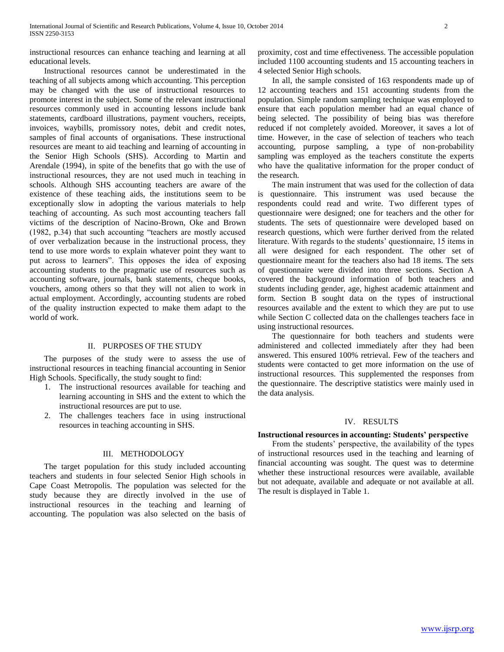instructional resources can enhance teaching and learning at all educational levels.

 Instructional resources cannot be underestimated in the teaching of all subjects among which accounting. This perception may be changed with the use of instructional resources to promote interest in the subject. Some of the relevant instructional resources commonly used in accounting lessons include bank statements, cardboard illustrations, payment vouchers, receipts, invoices, waybills, promissory notes, debit and credit notes, samples of final accounts of organisations. These instructional resources are meant to aid teaching and learning of accounting in the Senior High Schools (SHS). According to Martin and Arendale (1994), in spite of the benefits that go with the use of instructional resources, they are not used much in teaching in schools. Although SHS accounting teachers are aware of the existence of these teaching aids, the institutions seem to be exceptionally slow in adopting the various materials to help teaching of accounting. As such most accounting teachers fall victims of the description of Nacino-Brown, Oke and Brown (1982, p.34) that such accounting "teachers are mostly accused of over verbalization because in the instructional process, they tend to use more words to explain whatever point they want to put across to learners". This opposes the idea of exposing accounting students to the pragmatic use of resources such as accounting software, journals, bank statements, cheque books, vouchers, among others so that they will not alien to work in actual employment. Accordingly, accounting students are robed of the quality instruction expected to make them adapt to the world of work.

#### II. PURPOSES OF THE STUDY

 The purposes of the study were to assess the use of instructional resources in teaching financial accounting in Senior High Schools. Specifically, the study sought to find:

- 1. The instructional resources available for teaching and learning accounting in SHS and the extent to which the instructional resources are put to use.
- 2. The challenges teachers face in using instructional resources in teaching accounting in SHS.

#### III. METHODOLOGY

 The target population for this study included accounting teachers and students in four selected Senior High schools in Cape Coast Metropolis. The population was selected for the study because they are directly involved in the use of instructional resources in the teaching and learning of accounting. The population was also selected on the basis of proximity, cost and time effectiveness. The accessible population included 1100 accounting students and 15 accounting teachers in 4 selected Senior High schools.

 In all, the sample consisted of 163 respondents made up of 12 accounting teachers and 151 accounting students from the population. Simple random sampling technique was employed to ensure that each population member had an equal chance of being selected. The possibility of being bias was therefore reduced if not completely avoided. Moreover, it saves a lot of time. However, in the case of selection of teachers who teach accounting, purpose sampling, a type of non-probability sampling was employed as the teachers constitute the experts who have the qualitative information for the proper conduct of the research.

 The main instrument that was used for the collection of data is questionnaire. This instrument was used because the respondents could read and write. Two different types of questionnaire were designed; one for teachers and the other for students. The sets of questionnaire were developed based on research questions, which were further derived from the related literature. With regards to the students' questionnaire, 15 items in all were designed for each respondent. The other set of questionnaire meant for the teachers also had 18 items. The sets of questionnaire were divided into three sections. Section A covered the background information of both teachers and students including gender, age, highest academic attainment and form. Section B sought data on the types of instructional resources available and the extent to which they are put to use while Section C collected data on the challenges teachers face in using instructional resources.

 The questionnaire for both teachers and students were administered and collected immediately after they had been answered. This ensured 100% retrieval. Few of the teachers and students were contacted to get more information on the use of instructional resources. This supplemented the responses from the questionnaire. The descriptive statistics were mainly used in the data analysis.

#### IV. RESULTS

# **Instructional resources in accounting: Students' perspective**

 From the students' perspective, the availability of the types of instructional resources used in the teaching and learning of financial accounting was sought. The quest was to determine whether these instructional resources were available, available but not adequate, available and adequate or not available at all. The result is displayed in Table 1.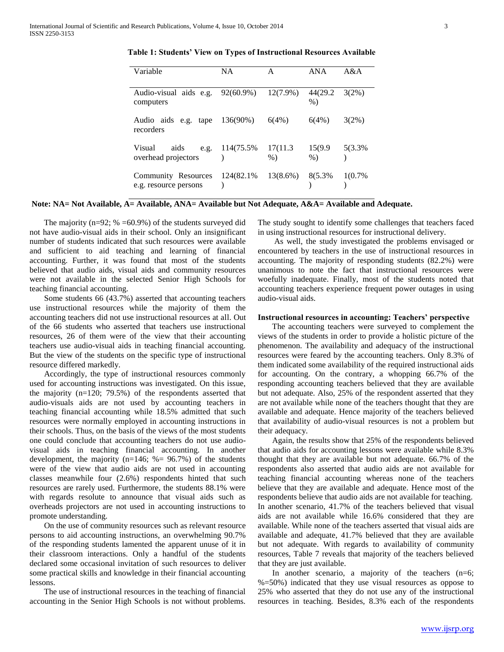| Variable                                      | <b>NA</b>       | A                 | ANA                | A&A      |
|-----------------------------------------------|-----------------|-------------------|--------------------|----------|
| Audio-visual aids e.g. 92(60.9%)<br>computers |                 | $12(7.9\%)$       | 44(29.2)<br>$\%$ ) | $3(2\%)$ |
| Audio aids e.g. tape<br>recorders             | 136(90%)        | 6(4%)             | 6(4%)              | $3(2\%)$ |
| Visual<br>aids<br>e.g.<br>overhead projectors | 114(75.5%)      | 17(11.3)<br>$%$ ) | 15(9.9)<br>$\%$ )  | 5(3.3%)  |
| Community Resources<br>e.g. resource persons  | 124(82.1%)<br>١ | $13(8.6\%)$       | 8(5.3%)            | 1(0.7%   |

**Table 1: Students' View on Types of Instructional Resources Available**

# **Note: NA= Not Available, A= Available, ANA= Available but Not Adequate, A&A= Available and Adequate.**

The majority ( $n=92$ ; % =60.9%) of the students surveyed did not have audio-visual aids in their school. Only an insignificant number of students indicated that such resources were available and sufficient to aid teaching and learning of financial accounting. Further, it was found that most of the students believed that audio aids, visual aids and community resources were not available in the selected Senior High Schools for teaching financial accounting.

 Some students 66 (43.7%) asserted that accounting teachers use instructional resources while the majority of them the accounting teachers did not use instructional resources at all. Out of the 66 students who asserted that teachers use instructional resources, 26 of them were of the view that their accounting teachers use audio-visual aids in teaching financial accounting. But the view of the students on the specific type of instructional resource differed markedly.

 Accordingly, the type of instructional resources commonly used for accounting instructions was investigated. On this issue, the majority (n=120; 79.5%) of the respondents asserted that audio-visuals aids are not used by accounting teachers in teaching financial accounting while 18.5% admitted that such resources were normally employed in accounting instructions in their schools. Thus, on the basis of the views of the most students one could conclude that accounting teachers do not use audiovisual aids in teaching financial accounting. In another development, the majority ( $n=146$ ; % $= 96.7$ %) of the students were of the view that audio aids are not used in accounting classes meanwhile four (2.6%) respondents hinted that such resources are rarely used. Furthermore, the students 88.1% were with regards resolute to announce that visual aids such as overheads projectors are not used in accounting instructions to promote understanding.

 On the use of community resources such as relevant resource persons to aid accounting instructions, an overwhelming 90.7% of the responding students lamented the apparent unuse of it in their classroom interactions. Only a handful of the students declared some occasional invitation of such resources to deliver some practical skills and knowledge in their financial accounting lessons.

 The use of instructional resources in the teaching of financial accounting in the Senior High Schools is not without problems.

The study sought to identify some challenges that teachers faced in using instructional resources for instructional delivery.

 As well, the study investigated the problems envisaged or encountered by teachers in the use of instructional resources in accounting. The majority of responding students (82.2%) were unanimous to note the fact that instructional resources were woefully inadequate. Finally, most of the students noted that accounting teachers experience frequent power outages in using audio-visual aids.

#### **Instructional resources in accounting: Teachers' perspective**

 The accounting teachers were surveyed to complement the views of the students in order to provide a holistic picture of the phenomenon. The availability and adequacy of the instructional resources were feared by the accounting teachers. Only 8.3% of them indicated some availability of the required instructional aids for accounting. On the contrary, a whopping 66.7% of the responding accounting teachers believed that they are available but not adequate. Also, 25% of the respondent asserted that they are not available while none of the teachers thought that they are available and adequate. Hence majority of the teachers believed that availability of audio-visual resources is not a problem but their adequacy.

 Again, the results show that 25% of the respondents believed that audio aids for accounting lessons were available while 8.3% thought that they are available but not adequate. 66.7% of the respondents also asserted that audio aids are not available for teaching financial accounting whereas none of the teachers believe that they are available and adequate. Hence most of the respondents believe that audio aids are not available for teaching. In another scenario, 41.7% of the teachers believed that visual aids are not available while 16.6% considered that they are available. While none of the teachers asserted that visual aids are available and adequate, 41.7% believed that they are available but not adequate. With regards to availability of community resources, Table 7 reveals that majority of the teachers believed that they are just available.

In another scenario, a majority of the teachers  $(n=6)$ ; %=50%) indicated that they use visual resources as oppose to 25% who asserted that they do not use any of the instructional resources in teaching. Besides, 8.3% each of the respondents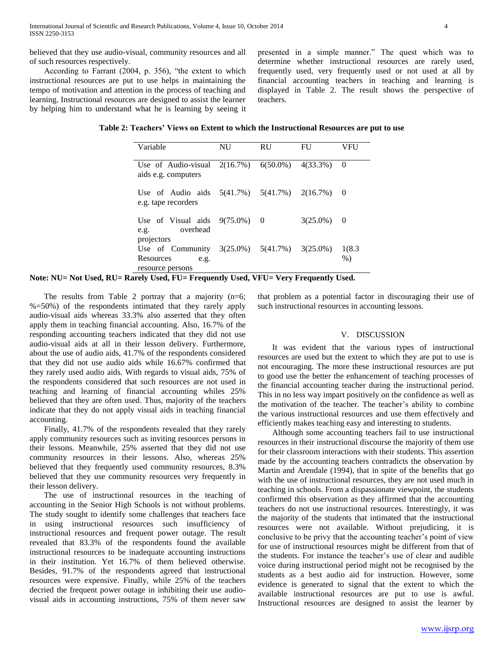believed that they use audio-visual, community resources and all of such resources respectively.

 According to Farrant (2004, p. 356), "the extent to which instructional resources are put to use helps in maintaining the tempo of motivation and attention in the process of teaching and learning. Instructional resources are designed to assist the learner by helping him to understand what he is learning by seeing it presented in a simple manner." The quest which was to determine whether instructional resources are rarely used, frequently used, very frequently used or not used at all by financial accounting teachers in teaching and learning is displayed in Table 2. The result shows the perspective of teachers.

**Table 2: Teachers' Views on Extent to which the Instructional Resources are put to use**

| Variable                                                                       | NU | <b>RU</b>                           | FU          | VFU             |
|--------------------------------------------------------------------------------|----|-------------------------------------|-------------|-----------------|
| Use of Audio-visual $2(16.7\%)$ $6(50.0\%)$ $4(33.3\%)$<br>aids e.g. computers |    |                                     |             | $\theta$        |
| Use of Audio aids $5(41.7%)$ $5(41.7%)$ $2(16.7%)$<br>e.g. tape recorders      |    |                                     |             | $\bigcirc$      |
| Use of Visual aids $9(75.0\%)$ 0<br>overhead<br>e.g.                           |    |                                     | $3(25.0\%)$ | $\bigcirc$      |
| projectors<br>Use of Community<br>Resources<br>e.g.<br>resource persons        |    | $3(25.0\%)$ $5(41.7\%)$ $3(25.0\%)$ |             | 1(8.3)<br>$%$ ) |

**Note: NU= Not Used, RU= Rarely Used, FU= Frequently Used, VFU= Very Frequently Used.**

The results from Table 2 portray that a majority  $(n=6;$ %=50%) of the respondents intimated that they rarely apply audio-visual aids whereas 33.3% also asserted that they often apply them in teaching financial accounting. Also, 16.7% of the responding accounting teachers indicated that they did not use audio-visual aids at all in their lesson delivery. Furthermore, about the use of audio aids, 41.7% of the respondents considered that they did not use audio aids while 16.67% confirmed that they rarely used audio aids. With regards to visual aids, 75% of the respondents considered that such resources are not used in teaching and learning of financial accounting whiles 25% believed that they are often used. Thus, majority of the teachers indicate that they do not apply visual aids in teaching financial accounting.

 Finally, 41.7% of the respondents revealed that they rarely apply community resources such as inviting resources persons in their lessons. Meanwhile, 25% asserted that they did not use community resources in their lessons. Also, whereas 25% believed that they frequently used community resources, 8.3% believed that they use community resources very frequently in their lesson delivery.

 The use of instructional resources in the teaching of accounting in the Senior High Schools is not without problems. The study sought to identify some challenges that teachers face in using instructional resources such insufficiency of instructional resources and frequent power outage. The result revealed that 83.3% of the respondents found the available instructional resources to be inadequate accounting instructions in their institution. Yet 16.7% of them believed otherwise. Besides, 91.7% of the respondents agreed that instructional resources were expensive. Finally, while 25% of the teachers decried the frequent power outage in inhibiting their use audiovisual aids in accounting instructions, 75% of them never saw

that problem as a potential factor in discouraging their use of such instructional resources in accounting lessons.

### V. DISCUSSION

 It was evident that the various types of instructional resources are used but the extent to which they are put to use is not encouraging. The more these instructional resources are put to good use the better the enhancement of teaching processes of the financial accounting teacher during the instructional period. This in no less way impart positively on the confidence as well as the motivation of the teacher. The teacher's ability to combine the various instructional resources and use them effectively and efficiently makes teaching easy and interesting to students.

 Although some accounting teachers fail to use instructional resources in their instructional discourse the majority of them use for their classroom interactions with their students. This assertion made by the accounting teachers contradicts the observation by Martin and Arendale (1994), that in spite of the benefits that go with the use of instructional resources, they are not used much in teaching in schools. From a dispassionate viewpoint, the students confirmed this observation as they affirmed that the accounting teachers do not use instructional resources. Interestingly, it was the majority of the students that intimated that the instructional resources were not available. Without prejudicing, it is conclusive to be privy that the accounting teacher's point of view for use of instructional resources might be different from that of the students. For instance the teacher's use of clear and audible voice during instructional period might not be recognised by the students as a best audio aid for instruction. However, some evidence is generated to signal that the extent to which the available instructional resources are put to use is awful. Instructional resources are designed to assist the learner by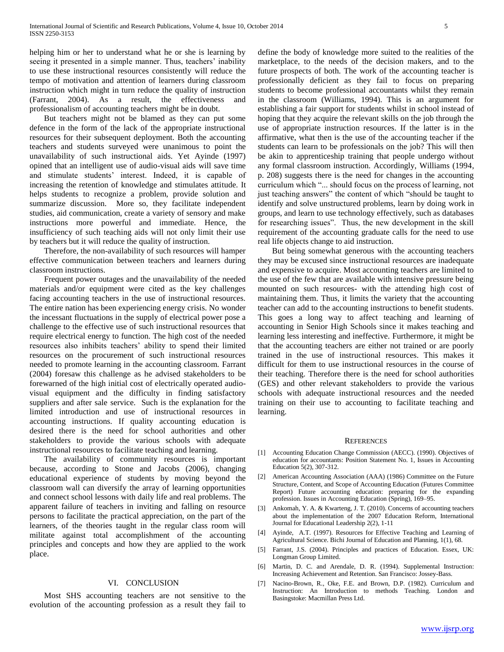helping him or her to understand what he or she is learning by seeing it presented in a simple manner. Thus, teachers' inability to use these instructional resources consistently will reduce the tempo of motivation and attention of learners during classroom instruction which might in turn reduce the quality of instruction (Farrant, 2004). As a result, the effectiveness and professionalism of accounting teachers might be in doubt.

 But teachers might not be blamed as they can put some defence in the form of the lack of the appropriate instructional resources for their subsequent deployment. Both the accounting teachers and students surveyed were unanimous to point the unavailability of such instructional aids. Yet Ayinde (1997) opined that an intelligent use of audio-visual aids will save time and stimulate students' interest. Indeed, it is capable of increasing the retention of knowledge and stimulates attitude. It helps students to recognize a problem, provide solution and summarize discussion. More so, they facilitate independent studies, aid communication, create a variety of sensory and make instructions more powerful and immediate. Hence, the insufficiency of such teaching aids will not only limit their use by teachers but it will reduce the quality of instruction.

 Therefore, the non-availability of such resources will hamper effective communication between teachers and learners during classroom instructions.

 Frequent power outages and the unavailability of the needed materials and/or equipment were cited as the key challenges facing accounting teachers in the use of instructional resources. The entire nation has been experiencing energy crisis. No wonder the incessant fluctuations in the supply of electrical power pose a challenge to the effective use of such instructional resources that require electrical energy to function. The high cost of the needed resources also inhibits teachers' ability to spend their limited resources on the procurement of such instructional resources needed to promote learning in the accounting classroom. Farrant (2004) foresaw this challenge as he advised stakeholders to be forewarned of the high initial cost of electrically operated audiovisual equipment and the difficulty in finding satisfactory suppliers and after sale service. Such is the explanation for the limited introduction and use of instructional resources in accounting instructions. If quality accounting education is desired there is the need for school authorities and other stakeholders to provide the various schools with adequate instructional resources to facilitate teaching and learning.

 The availability of community resources is important because, according to Stone and Jacobs (2006), changing educational experience of students by moving beyond the classroom wall can diversify the array of learning opportunities and connect school lessons with daily life and real problems. The apparent failure of teachers in inviting and falling on resource persons to facilitate the practical appreciation, on the part of the learners, of the theories taught in the regular class room will militate against total accomplishment of the accounting principles and concepts and how they are applied to the work place.

# VI. CONCLUSION

 Most SHS accounting teachers are not sensitive to the evolution of the accounting profession as a result they fail to define the body of knowledge more suited to the realities of the marketplace, to the needs of the decision makers, and to the future prospects of both. The work of the accounting teacher is professionally deficient as they fail to focus on preparing students to become professional accountants whilst they remain in the classroom (Williams, 1994). This is an argument for establishing a fair support for students whilst in school instead of hoping that they acquire the relevant skills on the job through the use of appropriate instruction resources. If the latter is in the affirmative, what then is the use of the accounting teacher if the students can learn to be professionals on the job? This will then be akin to apprenticeship training that people undergo without any formal classroom instruction. Accordingly, Williams (1994, p. 208) suggests there is the need for changes in the accounting curriculum which "... should focus on the process of learning, not just teaching answers" the content of which "should be taught to identify and solve unstructured problems, learn by doing work in groups, and learn to use technology effectively, such as databases for researching issues". Thus, the new development in the skill requirement of the accounting graduate calls for the need to use real life objects change to aid instruction.

 But being somewhat generous with the accounting teachers they may be excused since instructional resources are inadequate and expensive to acquire. Most accounting teachers are limited to the use of the few that are available with intensive pressure being mounted on such resources- with the attending high cost of maintaining them. Thus, it limits the variety that the accounting teacher can add to the accounting instructions to benefit students. This goes a long way to affect teaching and learning of accounting in Senior High Schools since it makes teaching and learning less interesting and ineffective. Furthermore, it might be that the accounting teachers are either not trained or are poorly trained in the use of instructional resources. This makes it difficult for them to use instructional resources in the course of their teaching. Therefore there is the need for school authorities (GES) and other relevant stakeholders to provide the various schools with adequate instructional resources and the needed training on their use to accounting to facilitate teaching and learning.

#### **REFERENCES**

- [1] Accounting Education Change Commission (AECC). (1990). Objectives of education for accountants: Position Statement No. 1, Issues in Accounting Education 5(2), 307-312.
- [2] American Accounting Association (AAA) (1986) Committee on the Future Structure, Content, and Scope of Accounting Education (Futures Committee Report) Future accounting education: preparing for the expanding profession. Issues in Accounting Education (Spring), 169–95.
- [3] Ankomah, Y. A. & Kwarteng, J. T. (2010). Concerns of accounting teachers about the implementation of the 2007 Education Reform, International Journal for Educational Leadership 2(2), 1-11
- [4] Ayinde, A.T. (1997). Resources for Effective Teaching and Learning of Agricultural Science. Bichi Journal of Education and Planning, 1(1), 68.
- [5] Farrant, J.S. (2004). Principles and practices of Education. Essex, UK: Longman Group Limited.
- [6] Martin, D. C. and Arendale, D. R. (1994). Supplemental Instruction: Increasing Achievement and Retention. San Francisco: Jossey-Bass.
- [7] Nacino-Brown, R., Oke, F.E. and Brown, D.P. (1982). Curriculum and Instruction: An Introduction to methods Teaching. London and Basingstoke: Macmillan Press Ltd.